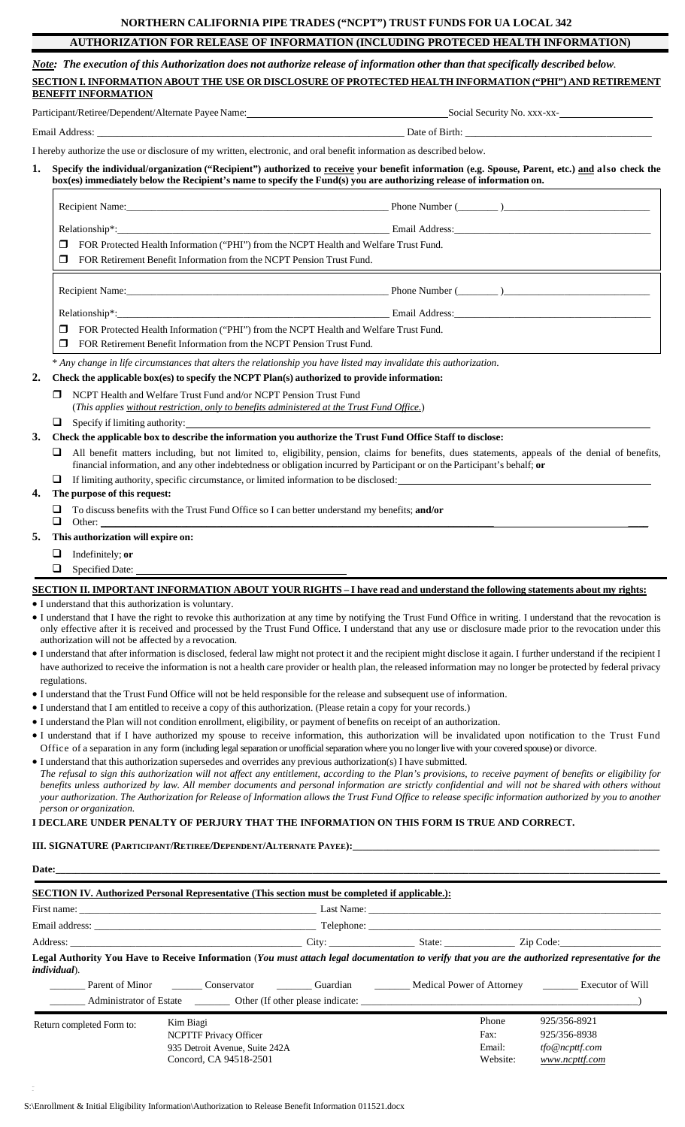### **NORTHERN CALIFORNIA PIPE TRADES ("NCPT") TRUST FUNDS FOR UA LOCAL 342**

# **AUTHORIZATION FOR RELEASE OF INFORMATION (INCLUDING PROTECED HEALTH INFORMATION)**

Note: The execution of this Authorization does not authorize release of information other than that specifically described below. **SECTION I. INFORMATION ABOUT THE USE OR DISCLOSURE OF PROTECTED HEALTH INFORMATION ("PHI") AND RETIREMENT BENEFIT INFORMATION**

Participant/Retiree/Dependent/Alternate Payee Name: Social Security No. xxx-xx-

Email Address: \_\_\_\_\_\_\_\_\_\_\_\_\_\_\_\_\_\_\_\_\_\_\_\_\_\_\_\_\_\_\_\_\_\_\_\_\_\_\_\_\_\_\_\_\_\_\_\_\_\_\_\_\_\_\_\_\_\_\_\_\_ Date of Birth: \_\_\_\_\_\_\_\_\_\_\_\_\_\_\_\_\_\_\_\_\_\_\_\_\_\_\_\_\_\_\_\_\_\_\_\_\_

I hereby authorize the use or disclosure of my written, electronic, and oral benefit information as described below.

1. Specify the individual/organization ("Recipient") authorized to receive your benefit information (e.g. Spouse, Parent, etc.) and also check the box(es) immediately below the Recipient's name to specify the Fund(s) you are authorizing release of information on.

| FOR Protected Health Information ("PHI") from the NCPT Health and Welfare Trust Fund.<br>$\Box$<br>FOR Retirement Benefit Information from the NCPT Pension Trust Fund. |                                                                                                               |  |  |
|-------------------------------------------------------------------------------------------------------------------------------------------------------------------------|---------------------------------------------------------------------------------------------------------------|--|--|
|                                                                                                                                                                         |                                                                                                               |  |  |
|                                                                                                                                                                         | Email Address: 2008. 2009. [2010] Andreas: 2010. [2010] Address: 2010. [2010] Address: 2010. [2010] And [2010 |  |  |
| FOR Protected Health Information ("PHI") from the NCPT Health and Welfare Trust Fund.<br>$\Box$                                                                         |                                                                                                               |  |  |
| FOR Retirement Benefit Information from the NCPT Pension Trust Fund.                                                                                                    |                                                                                                               |  |  |

\* *Any change in life circumstances that alters the relationship you have listed may invalidate this authorization*.

#### **2. Check the applicable box(es) to specify the NCPT Plan(s) authorized to provide information:**

- NCPT Health and Welfare Trust Fund and/or NCPT Pension Trust Fund (*This applies without restriction, only to benefits administered at the Trust Fund Office.*)
- $\Box$  Specify if limiting authority:

3. Check the applicable box to describe the information you authorize the Trust Fund Office Staff to disclose:

- All benefit matters including, but not limited to, eligibility, pension, claims for benefits, dues statements, appeals of the denial of benefits, financial information, and any other indebtedness or obligation incurred by Participant or on the Participant's behalf; **or**
- If limiting authority, specific circumstance, or limited information to be disclosed:

#### **4. The purpose of this request:**

 To discuss benefits with the Trust Fund Office so I can better understand my benefits; **and/or** Other: \_\_\_\_\_\_\_\_\_\_\_\_\_\_\_\_\_\_\_\_\_\_\_\_\_\_\_\_\_\_\_\_\_\_\_\_\_\_\_\_\_\_\_\_\_\_\_\_\_\_\_\_\_\_\_\_\_\_\_\_\_\_\_\_\_\_\_\_\_\_\_\_\_\_\_\_\_\_ \_\_\_\_

- **5. This authorization will expire on:**
	- Indefinitely; **or**
		- Specified Date:

SECTION II. IMPORTANT INFORMATION ABOUT YOUR RIGHTS - I have read and understand the following statements about my rights:

• I understand that this authorization is voluntary.

- I understand that I have the right to revoke this authorization at any time by notifying the Trust Fund Office in writing. I understand that the revocation is only effective after it is received and processed by the Trust Fund Office. I understand that any use or disclosure made prior to the revocation under this authorization will not be affected by a revocation.
- I understand that after information is disclosed, federal law might not protect it and the recipient might disclose it again. I further understand if the recipient I have authorized to receive the information is not a health care provider or health plan, the released information may no longer be protected by federal privacy regulations.
- I understand that the Trust Fund Office will not be held responsible for the release and subsequent use of information.
- I understand that I am entitled to receive a copy of this authorization. (Please retain a copy for your records.)
- I understand the Plan will not condition enrollment, eligibility, or payment of benefits on receipt of an authorization.
- I understand that if I have authorized my spouse to receive information, this authorization will be invalidated upon notification to the Trust Fund Office of a separation in any form (including legal separation or unofficial separation where you no longer live with your covered spouse) or divorce.
- I understand that this authorization supersedes and overrides any previous authorization(s) I have submitted. The refusal to sign this authorization will not affect any entitlement, according to the Plan's provisions, to receive payment of benefits or eligibility for benefits unless authorized by law. All member documents and personal information are strictly confidential and will not be shared with others without your authorization. The Authorization for Release of Information allows the Trust Fund Office to release specific information authorized by you to another *person or organization.*

#### **I DECLARE UNDER PENALTY OF PERJURY THAT THE INFORMATION ON THIS FORM IS TRUE AND CORRECT.**

**III. SIGNATURE (PARTICIPANT/RETIREE/DEPENDENT/ALTERNATE PAYEE):** 

| Date: |  | the control of the control of the control of the control of the control of the control of the control of the control of the control of the control of the control of the control of the control of the control of the control |
|-------|--|-------------------------------------------------------------------------------------------------------------------------------------------------------------------------------------------------------------------------------|
|       |  |                                                                                                                                                                                                                               |

| <b>SECTION IV.</b> Authorized Personal Representative (This section must be completed if applicable.):                                                                                                                         |  |                                                          |                                                                                                                                                                                                                               |  |                                     |                                                                  |  |
|--------------------------------------------------------------------------------------------------------------------------------------------------------------------------------------------------------------------------------|--|----------------------------------------------------------|-------------------------------------------------------------------------------------------------------------------------------------------------------------------------------------------------------------------------------|--|-------------------------------------|------------------------------------------------------------------|--|
| First name: Last Name: Last Name: Last Name:                                                                                                                                                                                   |  |                                                          |                                                                                                                                                                                                                               |  |                                     |                                                                  |  |
|                                                                                                                                                                                                                                |  |                                                          | Email address: Telephone: The Contract of the Contract of the Contract of the Contract of the Contract of the Contract of the Contract of the Contract of the Contract of the Contract of the Contract of the Contract of the |  |                                     |                                                                  |  |
|                                                                                                                                                                                                                                |  |                                                          |                                                                                                                                                                                                                               |  |                                     |                                                                  |  |
| Legal Authority You Have to Receive Information (You must attach legal documentation to verify that you are the authorized representative for the<br><i>individual</i> ).                                                      |  |                                                          |                                                                                                                                                                                                                               |  |                                     |                                                                  |  |
| Parent of Minor Conservator Conservator Conservator Conservation Conservation Conservation Conservation Conservator Conservation Conservation Conservation Conservation Conservation Conservation Conservation Conservation Co |  |                                                          |                                                                                                                                                                                                                               |  |                                     |                                                                  |  |
| Administrator of Estate Other (If other please indicate:                                                                                                                                                                       |  |                                                          |                                                                                                                                                                                                                               |  |                                     |                                                                  |  |
| Kim Biagi<br>Return completed Form to:<br><b>NCPTTF Privacy Officer</b>                                                                                                                                                        |  | 935 Detroit Avenue, Suite 242A<br>Concord, CA 94518-2501 |                                                                                                                                                                                                                               |  | Phone<br>Fax:<br>Email:<br>Website: | 925/356-8921<br>925/356-8938<br>tfo@ncpttf.com<br>www.ncpttf.com |  |